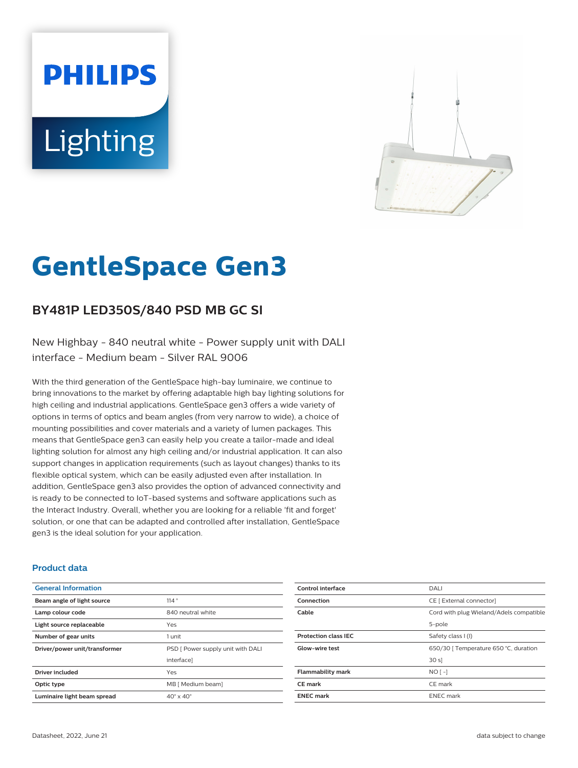# **PHILIPS** Lighting



# **GentleSpace Gen3**

# **BY481P LED350S/840 PSD MB GC SI**

New Highbay - 840 neutral white - Power supply unit with DALI interface - Medium beam - Silver RAL 9006

With the third generation of the GentleSpace high-bay luminaire, we continue to bring innovations to the market by offering adaptable high bay lighting solutions for high ceiling and industrial applications. GentleSpace gen3 offers a wide variety of options in terms of optics and beam angles (from very narrow to wide), a choice of mounting possibilities and cover materials and a variety of lumen packages. This means that GentleSpace gen3 can easily help you create a tailor-made and ideal lighting solution for almost any high ceiling and/or industrial application. It can also support changes in application requirements (such as layout changes) thanks to its flexible optical system, which can be easily adjusted even after installation. In addition, GentleSpace gen3 also provides the option of advanced connectivity and is ready to be connected to IoT-based systems and software applications such as the Interact Industry. Overall, whether you are looking for a reliable 'fit and forget' solution, or one that can be adapted and controlled after installation, GentleSpace gen3 is the ideal solution for your application.

#### **Product data**

| <b>General Information</b>    |                                   |
|-------------------------------|-----------------------------------|
| Beam angle of light source    | 114°                              |
| Lamp colour code              | 840 neutral white                 |
| Light source replaceable      | Yes                               |
| Number of gear units          | 1 unit                            |
| Driver/power unit/transformer | PSD [ Power supply unit with DALI |
|                               | interfacel                        |
| <b>Driver included</b>        | Yes                               |
| Optic type                    | MB [ Medium beam]                 |
| Luminaire light beam spread   | $40^\circ \times 40^\circ$        |

| Control interface           | DALI                                    |
|-----------------------------|-----------------------------------------|
| Connection                  | CE [ External connector]                |
| Cable                       | Cord with plug Wieland/Adels compatible |
|                             | 5-pole                                  |
| <b>Protection class IEC</b> | Safety class I (I)                      |
| <b>Glow-wire test</b>       | 650/30   Temperature 650 °C, duration   |
|                             | 30 s                                    |
| <b>Flammability mark</b>    | $NO$ [ -]                               |
| <b>CE</b> mark              | CE mark                                 |
| <b>ENEC</b> mark            | <b>ENEC</b> mark                        |
|                             |                                         |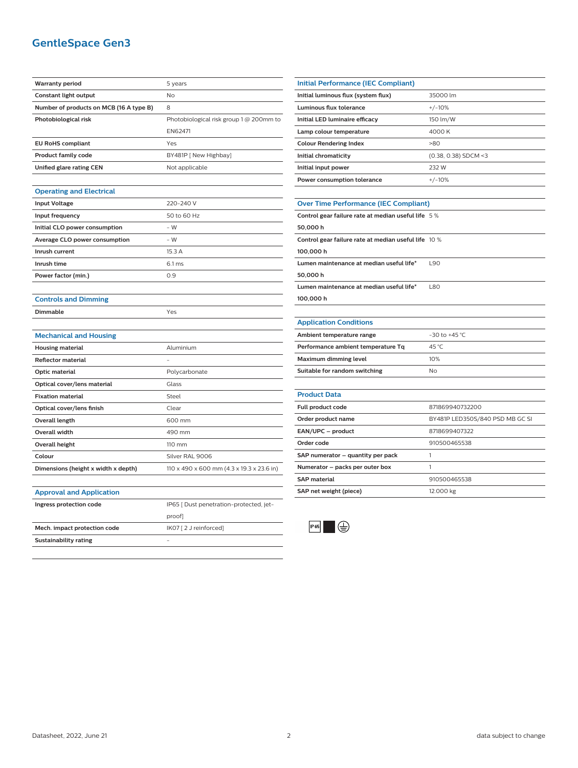## **GentleSpace Gen3**

| <b>Warranty period</b>                  | 5 years                                   |
|-----------------------------------------|-------------------------------------------|
| Constant light output                   | No                                        |
| Number of products on MCB (16 A type B) | 8                                         |
| Photobiological risk                    | Photobiological risk group 1 @ 200mm to   |
|                                         | EN62471                                   |
| <b>EU RoHS compliant</b>                | Yes                                       |
| <b>Product family code</b>              | BY481P [ New Highbay]                     |
| Unified glare rating CEN                | Not applicable                            |
|                                         |                                           |
| <b>Operating and Electrical</b>         |                                           |
| <b>Input Voltage</b>                    | 220-240 V                                 |
| Input frequency                         | 50 to 60 Hz                               |
| Initial CLO power consumption           | $-W$                                      |
| <b>Average CLO power consumption</b>    | - W                                       |
| Inrush current                          | 15.3 A                                    |
| Inrush time                             | 6.1 <sub>ms</sub>                         |
| Power factor (min.)                     | 0.9                                       |
|                                         |                                           |
| <b>Controls and Dimming</b>             |                                           |
| Dimmable                                | Yes                                       |
|                                         |                                           |
| <b>Mechanical and Housing</b>           |                                           |
| <b>Housing material</b>                 | Aluminium                                 |
| Reflector material                      |                                           |
| Optic material                          | Polycarbonate                             |
| Optical cover/lens material             | Glass                                     |
| <b>Fixation material</b>                | Steel                                     |
| Optical cover/lens finish               | Clear                                     |
| Overall length                          | 600 mm                                    |
| <b>Overall width</b>                    |                                           |
| <b>Overall height</b>                   | 490 mm                                    |
|                                         | 110 mm                                    |
| Colour                                  | Silver RAL 9006                           |
| Dimensions (height x width x depth)     | 110 x 490 x 600 mm (4.3 x 19.3 x 23.6 in) |
|                                         |                                           |
| <b>Approval and Application</b>         |                                           |
| Ingress protection code                 | IP65 [ Dust penetration-protected, jet-   |
|                                         | proof]                                    |
| Mech. impact protection code            | IK07 [2 J reinforced]                     |
| Sustainability rating                   | $\equiv$                                  |

| Initial Performance (IEC Compliant) |                        |
|-------------------------------------|------------------------|
| Initial luminous flux (system flux) | 35000 lm               |
| Luminous flux tolerance             | $+/-10%$               |
| Initial LED luminaire efficacy      | 150 lm/W               |
| Lamp colour temperature             | 4000 K                 |
| <b>Colour Rendering Index</b>       | $-80$                  |
| Initial chromaticity                | $(0.38, 0.38)$ SDCM <3 |
| Initial input power                 | 232 W                  |
| Power consumption tolerance         | $+/-10%$               |
|                                     |                        |

#### **Over Time Performance (IEC Compliant)**

| <b>OVER THREE CHORNIGHTS (ILC COMPRIGHT</b> )                |  |  |
|--------------------------------------------------------------|--|--|
| Control gear failure rate at median useful life 5 %          |  |  |
| 50.000 h                                                     |  |  |
| Control gear failure rate at median useful life $\,$ 10 $\%$ |  |  |
| 100.000 h                                                    |  |  |
| Lumen maintenance at median useful life*<br><b>L90</b>       |  |  |
| 50.000 h                                                     |  |  |
| Lumen maintenance at median useful life*<br><b>L80</b>       |  |  |
| 100.000 h                                                    |  |  |
|                                                              |  |  |

#### **Application Conditions**

| Ambient temperature range          | $-30$ to $+45$ °C. |
|------------------------------------|--------------------|
| Performance ambient temperature Tq | 45 °C              |
| Maximum dimming level              | 10%                |
| Suitable for random switching      | No                 |

| <b>Product Data</b>               |                                 |
|-----------------------------------|---------------------------------|
| <b>Full product code</b>          | 871869940732200                 |
| Order product name                | BY481P LED350S/840 PSD MB GC SI |
| EAN/UPC - product                 | 8718699407322                   |
| Order code                        | 910500465538                    |
| SAP numerator - quantity per pack |                                 |
| Numerator – packs per outer box   |                                 |
| <b>SAP</b> material               | 910500465538                    |
| SAP net weight (piece)            | 12.000 kg                       |
|                                   |                                 |